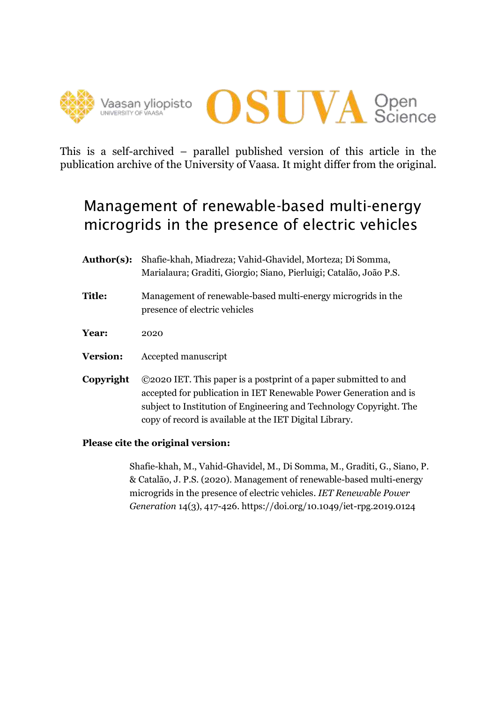



This is a self-archived – parallel published version of this article in the publication archive of the University of Vaasa. It might differ from the original.

# Management of renewable-based multi-energy microgrids in the presence of electric vehicles

- **Author(s):** Shafie-khah, Miadreza; Vahid-Ghavidel, Morteza; Di Somma, Marialaura; Graditi, Giorgio; Siano, Pierluigi; Catalão, João P.S.
- **Title:** Management of renewable-based multi-energy microgrids in the presence of electric vehicles
- **Year:** 2020
- **Version:** Accepted manuscript
- **Copyright** ©2020 IET. This paper is a postprint of a paper submitted to and accepted for publication in IET Renewable Power Generation and is subject to Institution of Engineering and Technology Copyright. The copy of record is available at the IET Digital Library.

# **Please cite the original version:**

Shafie-khah, M., Vahid-Ghavidel, M., Di Somma, M., Graditi, G., Siano, P. & Catalão, J. P.S. (2020). Management of renewable-based multi-energy microgrids in the presence of electric vehicles. *IET Renewable Power Generation* 14(3), 417-426. https://doi.org/10.1049/iet-rpg.2019.0124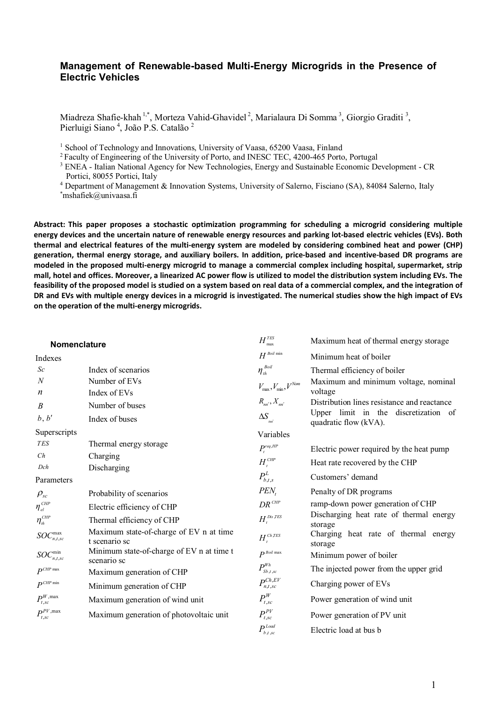## **Management of Renewable-based Multi-Energy Microgrids in the Presence of Electric Vehicles**

Miadreza Shafie-khah <sup>1,\*</sup>, Morteza Vahid-Ghavidel<sup>2</sup>, Marialaura Di Somma<sup>3</sup>, Giorgio Graditi<sup>3</sup>, Pierluigi Siano<sup>4</sup>, João P.S. Catalão<sup>2</sup>

<sup>1</sup> School of Technology and Innovations, University of Vaasa, 65200 Vaasa, Finland

<sup>2</sup> Faculty of Engineering of the University of Porto, and INESC TEC, 4200-465 Porto, Portugal

<sup>3</sup> ENEA - Italian National Agency for New Technologies, Energy and Sustainable Economic Development - CR Portici, 80055 Portici, Italy

<sup>4</sup> Department of Management & Innovation Systems, University of Salerno, Fisciano (SA), 84084 Salerno, Italy \*mshafiek@univaasa.fi

**Abstract: This paper proposes a stochastic optimization programming for scheduling a microgrid considering multiple energy devices and the uncertain nature of renewable energy resources and parking lot-based electric vehicles (EVs). Both thermal and electrical features of the multi-energy system are modeled by considering combined heat and power (CHP) generation, thermal energy storage, and auxiliary boilers. In addition, price-based and incentive-based DR programs are modeled in the proposed multi-energy microgrid to manage a commercial complex including hospital, supermarket, strip mall, hotel and offices. Moreover, a linearized AC power flow is utilized to model the distribution system including EVs. The feasibility of the proposed model is studied on a system based on real data of a commercial complex, and the integration of DR and EVs with multiple energy devices in a microgrid is investigated. The numerical studies show the high impact of EVs on the operation of the multi-energy microgrids.**

| Nomenclature                                            |                                                          | $H_{\rm max}^{\rm \scriptscriptstyle TES}$                   | Maximum heat of thermal energy storage                        |  |  |
|---------------------------------------------------------|----------------------------------------------------------|--------------------------------------------------------------|---------------------------------------------------------------|--|--|
| Indexes                                                 |                                                          | $H^{\mathit{Boil}}$ min                                      | Minimum heat of boiler                                        |  |  |
| Sc                                                      | Index of scenarios                                       | $\eta_{\scriptscriptstyle th}^{\scriptscriptstyle\it Bolil}$ | Thermal efficiency of boiler                                  |  |  |
| $\boldsymbol{N}$                                        | Number of EVs                                            | $V_{\rm max}, V_{\rm min}, V^{Non}$                          | Maximum and minimum voltage, nominal                          |  |  |
| n                                                       | Index of EVs                                             |                                                              | voltage                                                       |  |  |
| $\boldsymbol{B}$                                        | Number of buses                                          | $R_{nn'}$ , $X_{nn'}$                                        | Distribution lines resistance and reactance                   |  |  |
| b, b'                                                   | Index of buses                                           | $\Delta S_{\text{tot}}$                                      | Upper limit in the discretization of<br>quadratic flow (kVA). |  |  |
| Superscripts                                            |                                                          | Variables                                                    |                                                               |  |  |
| <b>TES</b>                                              | Thermal energy storage                                   | $P_t^{req,HP}$                                               | Electric power required by the heat pump                      |  |  |
| Ch                                                      | Charging                                                 | $H_t^{CHP}$                                                  | Heat rate recovered by the CHP                                |  |  |
| Dch                                                     | Discharging                                              |                                                              |                                                               |  |  |
| Parameters                                              |                                                          | $P_{b,t,s}^L$                                                | Customers' demand                                             |  |  |
| $\rho_{\scriptscriptstyle sc}$                          | Probability of scenarios                                 | $PEN_t$                                                      | Penalty of DR programs                                        |  |  |
| $\eta_{\mathit{el}}^{\mathit{CHP}}$                     | Electric efficiency of CHP                               | $DR^{CHP}$                                                   | ramp-down power generation of CHP                             |  |  |
| $\eta_{\scriptscriptstyle th}^{\scriptscriptstyle CHP}$ | Thermal efficiency of CHP                                | $H_t^{\textit{Dis}\, \textit{TES}}$                          | Discharging heat rate of thermal energy<br>storage            |  |  |
| $SOC^{\max}_{n,t,sc}$                                   | Maximum state-of-charge of EV n at time<br>t scenario sc | $H_t^{ch,IES}$                                               | Charging heat rate of thermal energy<br>storage               |  |  |
| $SOC_{n,t,sc}^{\min}$                                   | Minimum state-of-charge of EV n at time t<br>scenario sc | $P^{Boil}$ max                                               | Minimum power of boiler                                       |  |  |
| $P^{CHP \text{ max}}$                                   | Maximum generation of CHP                                | $P_{\scriptscriptstyle Sb}^{\scriptscriptstyle Wh}$          | The injected power from the upper grid                        |  |  |
| $P^{CHP \min}$                                          | Minimum generation of CHP                                | $P_{n,t,sc}^{Ch,EV}$                                         | Charging power of EVs                                         |  |  |
| $P^{\rm W, \rm max}_{t, sc}$                            | Maximum generation of wind unit                          | $P^W_{t,sc}$                                                 | Power generation of wind unit                                 |  |  |
| $P_{t,sc}^{PV, \max}$                                   | Maximum generation of photovoltaic unit                  | $P^{PV}_{t,sc}$                                              | Power generation of PV unit                                   |  |  |
|                                                         |                                                          | $P_{i}^{Load}$<br>$h.t.$ sc                                  | Electric load at bus b                                        |  |  |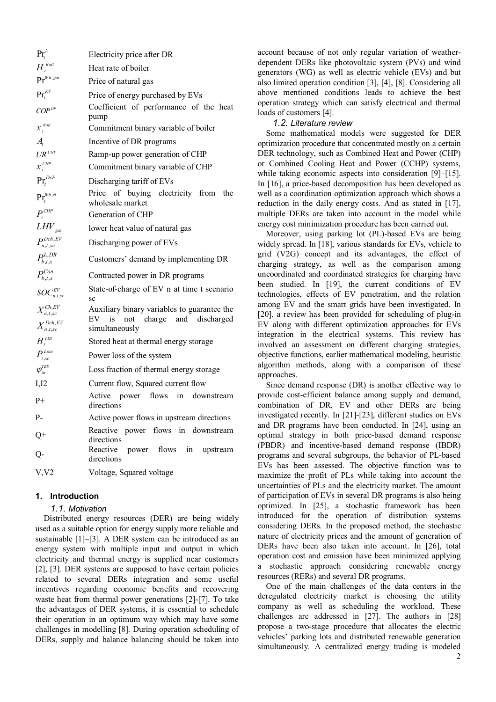| $\Pr_{\cdot}^L$                               | Electricity price after DR                                                                            |  |  |  |  |
|-----------------------------------------------|-------------------------------------------------------------------------------------------------------|--|--|--|--|
| $H_t^{\textit{Boil}}$                         | Heat rate of boiler                                                                                   |  |  |  |  |
| $\Pr^{Wh, gas}$                               | Price of natural gas                                                                                  |  |  |  |  |
| $\Pr_t^{EV}$                                  | Price of energy purchased by EVs                                                                      |  |  |  |  |
| $COP$ <sup>HP</sup>                           | Coefficient of performance of the heat<br>pump                                                        |  |  |  |  |
| $x_{t}^{Boil}$                                | Commitment binary variable of boiler                                                                  |  |  |  |  |
| Ą,                                            | Incentive of DR programs                                                                              |  |  |  |  |
| $UR^{CHP}$                                    | Ramp-up power generation of CHP                                                                       |  |  |  |  |
| $\boldsymbol{x}_{_t}^{\textit{CHP}}$          | Commitment binary variable of CHP                                                                     |  |  |  |  |
| $\Pr_t^{Dch}$                                 | Discharging tariff of EVs                                                                             |  |  |  |  |
| $\Pr_t^{\mathit{Wh},\mathit{el}}$             | Price of buying electricity from<br>the<br>wholesale market                                           |  |  |  |  |
| $P_t^{CHP}$                                   | Generation of CHP                                                                                     |  |  |  |  |
| $LHV_{\rm gas}$                               | lower heat value of natural gas                                                                       |  |  |  |  |
| $P_{n,t,sc}^{Dch,EV}$                         | Discharging power of EVs                                                                              |  |  |  |  |
| $P_{b,t,s}^{L,DR}$                            | Customers' demand by implementing DR                                                                  |  |  |  |  |
| $P_{b,t,s}^{Con}$                             | Contracted power in DR programs                                                                       |  |  |  |  |
| $\mathit{SOC}^{\mathit{EV}}_{n,t,sc}$         | State-of-charge of EV n at time t scenario<br>SC                                                      |  |  |  |  |
| $X^{Ch,EV}_{n,t,sc}$<br>$X^{Dch,EV}_{n,t,sc}$ | Auxiliary binary variables to guarantee the<br>$EV$ is<br>not charge and discharged<br>simultaneously |  |  |  |  |
| $H_t^{^{TES}}$                                | Stored heat at thermal energy storage                                                                 |  |  |  |  |
| $P_{t,sc}^{Loss}$                             | Power loss of the system                                                                              |  |  |  |  |
| $\varphi_{_{\!{\Delta t}}}^{^{TES}}$          | Loss fraction of thermal energy storage                                                               |  |  |  |  |
| I,I2                                          | Current flow, Squared current flow                                                                    |  |  |  |  |
| $_{\rm P+}$                                   | Active power flows in downstream<br>directions                                                        |  |  |  |  |
| P-                                            | Active power flows in upstream directions                                                             |  |  |  |  |
| $Q+$                                          | Reactive power flows in downstream<br>directions                                                      |  |  |  |  |
| Q-                                            | Reactive<br>power flows in<br>upstream<br>directions                                                  |  |  |  |  |
| V, V2                                         | Voltage, Squared voltage                                                                              |  |  |  |  |

## **1. Introduction**

#### *1.1. Motivation*

Distributed energy resources (DER) are being widely used as a suitable option for energy supply more reliable and sustainable [1]–[3]. A DER system can be introduced as an energy system with multiple input and output in which electricity and thermal energy is supplied near customers [2], [3]. DER systems are supposed to have certain policies related to several DERs integration and some useful incentives regarding economic benefits and recovering waste heat from thermal power generations [2]-[7]. To take the advantages of DER systems, it is essential to schedule their operation in an optimum way which may have some challenges in modelling [8]. During operation scheduling of DERs, supply and balance balancing should be taken into account because of not only regular variation of weatherdependent DERs like photovoltaic system (PVs) and wind generators (WG) as well as electric vehicle (EVs) and but also limited operation condition [3], [4], [8]. Considering all above mentioned conditions leads to achieve the best operation strategy which can satisfy electrical and thermal loads of customers [4].

#### *1.2. Literature review*

Some mathematical models were suggested for DER optimization procedure that concentrated mostly on a certain DER technology, such as Combined Heat and Power (CHP) or Combined Cooling Heat and Power (CCHP) systems, while taking economic aspects into consideration [9]–[15]. In [16], a price-based decomposition has been developed as well as a coordination optimization approach which shows a reduction in the daily energy costs. And as stated in [17], multiple DERs are taken into account in the model while energy cost minimization procedure has been carried out.

Moreover, using parking lot (PL)-based EVs are being widely spread. In [18], various standards for EVs, vehicle to grid (V2G) concept and its advantages, the effect of charging strategy, as well as the comparison among uncoordinated and coordinated strategies for charging have been studied. In [19], the current conditions of EV technologies, effects of EV penetration, and the relation among EV and the smart grids have been investigated. In [20], a review has been provided for scheduling of plug-in EV along with different optimization approaches for EVs integration in the electrical systems. This review has involved an assessment on different charging strategies, objective functions, earlier mathematical modeling, heuristic algorithm methods, along with a comparison of these approaches.

Since demand response (DR) is another effective way to provide cost-efficient balance among supply and demand, combination of DR, EV and other DERs are being investigated recently. In [21]-[23], different studies on EVs and DR programs have been conducted. In [24], using an optimal strategy in both price-based demand response (PBDR) and incentive-based demand response (IBDR) programs and several subgroups, the behavior of PL-based EVs has been assessed. The objective function was to maximize the profit of PLs while taking into account the uncertainties of PLs and the electricity market. The amount of participation of EVs in several DR programs is also being optimized. In [25], a stochastic framework has been introduced for the operation of distribution systems considering DERs. In the proposed method, the stochastic nature of electricity prices and the amount of generation of DERs have been also taken into account. In [26], total operation cost and emission have been minimized applying a stochastic approach considering renewable energy resources (RERs) and several DR programs.

One of the main challenges of the data centers in the deregulated electricity market is choosing the utility company as well as scheduling the workload. These challenges are addressed in [27]. The authors in [28] propose a two-stage procedure that allocates the electric vehicles' parking lots and distributed renewable generation simultaneously. A centralized energy trading is modeled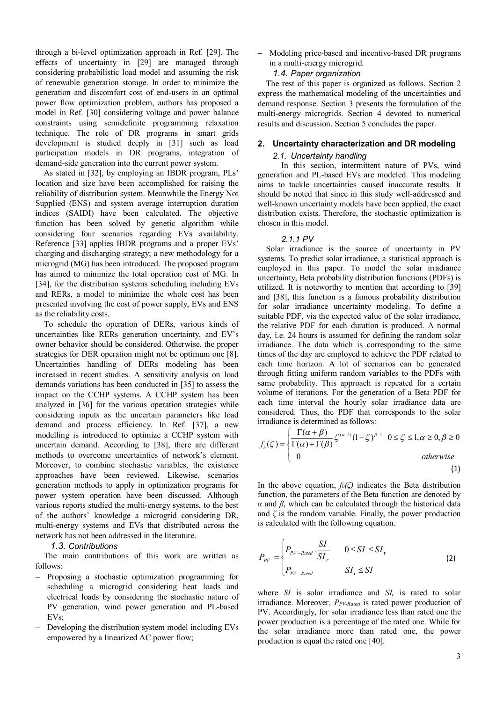through a bi-level optimization approach in Ref. [29]. The effects of uncertainty in [29] are managed through considering probabilistic load model and assuming the risk of renewable generation storage. In order to minimize the generation and discomfort cost of end-users in an optimal power flow optimization problem, authors has proposed a model in Ref. [30] considering voltage and power balance constraints using semidefinite programming relaxation technique. The role of DR programs in smart grids development is studied deeply in [31] such as load participation models in DR programs, integration of demand-side generation into the current power system.

As stated in [32], by employing an IBDR program, PLs' location and size have been accomplished for raising the reliability of distribution system. Meanwhile the Energy Not Supplied (ENS) and system average interruption duration indices (SAIDI) have been calculated. The objective function has been solved by genetic algorithm while considering four scenarios regarding EVs availability. Reference [33] applies IBDR programs and a proper EVs' charging and discharging strategy; a new methodology for a microgrid (MG) has been introduced. The proposed program has aimed to minimize the total operation cost of MG. In [34], for the distribution systems scheduling including EVs and RERs, a model to minimize the whole cost has been presented involving the cost of power supply, EVs and ENS as the reliability costs.

To schedule the operation of DERs, various kinds of uncertainties like RERs generation uncertainty, and EV's owner behavior should be considered. Otherwise, the proper strategies for DER operation might not be optimum one [8]. Uncertainties handling of DERs modeling has been increased in recent studies. A sensitivity analysis on load demands variations has been conducted in [35] to assess the impact on the CCHP systems. A CCHP system has been analyzed in [36] for the various operation strategies while considering inputs as the uncertain parameters like load demand and process efficiency. In Ref. [37], a new modelling is introduced to optimize a CCHP system with uncertain demand. According to [38], there are different methods to overcome uncertainties of network's element. Moreover, to combine stochastic variables, the existence approaches have been reviewed. Likewise, scenarios generation methods to apply in optimization programs for power system operation have been discussed. Although various reports studied the multi-energy systems, to the best of the authors' knowledge a microgrid considering DR, multi-energy systems and EVs that distributed across the network has not been addressed in the literature.

## *1.3. Contributions*

The main contributions of this work are written as follows:

- Proposing a stochastic optimization programming for scheduling a microgrid considering heat loads and electrical loads by considering the stochastic nature of PV generation, wind power generation and PL-based EVs;
- Developing the distribution system model including EVs empowered by a linearized AC power flow;

- Modeling price-based and incentive-based DR programs in a multi-energy microgrid.

## *1.4. Paper organization*

The rest of this paper is organized as follows. Section 2 express the mathematical modeling of the uncertainties and demand response. Section 3 presents the formulation of the multi-energy microgrids. Section 4 devoted to numerical results and discussion. Section 5 concludes the paper.

#### **2. Uncertainty characterization and DR modeling**

## *2.1. Uncertainty handling*

In this section, intermittent nature of PVs, wind generation and PL-based EVs are modeled. This modeling aims to tackle uncertainties caused inaccurate results. It should be noted that since in this study well-addressed and well-known uncertainty models have been applied, the exact distribution exists. Therefore, the stochastic optimization is chosen in this model.

#### *2.1.1 PV*

Solar irradiance is the source of uncertainty in PV systems. To predict solar irradiance, a statistical approach is employed in this paper. To model the solar irradiance uncertainty, Beta probability distribution functions (PDFs) is utilized. It is noteworthy to mention that according to [39] and [38], this function is a famous probability distribution for solar irradiance uncertainty modeling. To define a suitable PDF, via the expected value of the solar irradiance, the relative PDF for each duration is produced. A normal day, i.e. 24 hours is assumed for defining the random solar irradiance. The data which is corresponding to the same times of the day are employed to achieve the PDF related to each time horizon. A lot of scenarios can be generated through fitting uniform random variables to the PDFs with same probability. This approach is repeated for a certain volume of iterations. For the generation of a Beta PDF for each time interval the hourly solar irradiance data are considered. Thus, the PDF that corresponds to the solar irradiance is determined as follows:

$$
f_b(\zeta) = \begin{cases} \frac{\Gamma(\alpha+\beta)}{\Gamma(\alpha)+\Gamma(\beta)} \zeta^{(\alpha-1)} (1-\zeta)^{\beta-1} & 0 \le \zeta \le 1, \alpha \ge 0, \beta \ge 0\\ 0 & \text{otherwise} \end{cases}
$$
\n(1)

In the above equation,  $f_b(\zeta)$  indicates the Beta distribution function, the parameters of the Beta function are denoted by *α* and *β*, which can be calculated through the historical data and  $\zeta$  is the random variable. Finally, the power production is calculated with the following equation.

$$
P_{\text{pv}} = \begin{cases} P_{\text{pv}-\text{Rad}} \cdot \frac{SI}{SI_r} & 0 \leq SI \leq SI_r \\ P_{\text{pv}-\text{Rad}} & SI_r \leq SI \end{cases}
$$
 (2)

where *SI* is solar irradiance and  $SI_r$  is rated to solar irradiance. Moreover, *PPV-Rated* is rated power production of PV. Accordingly, for solar irradiance less than rated one the power production is a percentage of the rated one. While for the solar irradiance more than rated one, the power production is equal the rated one [40].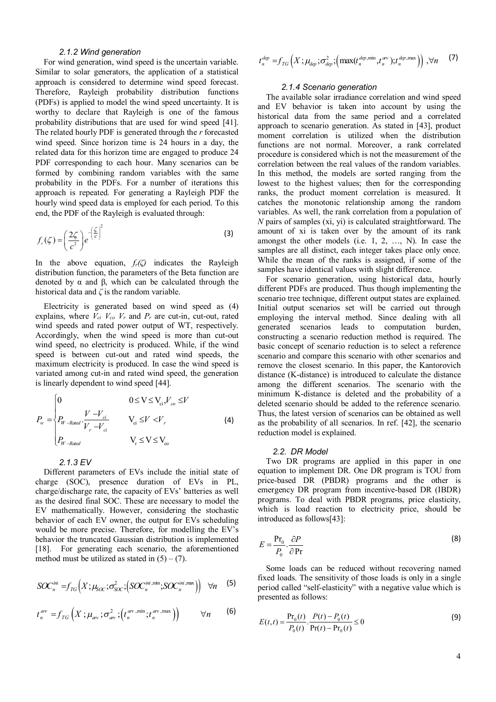## *2.1.2 Wind generation*

For wind generation, wind speed is the uncertain variable. Similar to solar generators, the application of a statistical approach is considered to determine wind speed forecast. Therefore, Rayleigh probability distribution functions (PDFs) is applied to model the wind speed uncertainty. It is worthy to declare that Rayleigh is one of the famous probability distributions that are used for wind speed [41]. The related hourly PDF is generated through the *r* forecasted wind speed. Since horizon time is 24 hours in a day, the related data for this horizon time are engaged to produce 24 PDF corresponding to each hour. Many scenarios can be formed by combining random variables with the same probability in the PDFs. For a number of iterations this approach is repeated. For generating a Rayleigh PDF the hourly wind speed data is employed for each period. To this end, the PDF of the Rayleigh is evaluated through:

$$
f_r(\zeta) = \left(\frac{2\zeta}{c^2}\right) e^{-\left(\frac{\zeta}{c}\right)^2}
$$
 (3)

In the above equation, *fr(ζ)* indicates the Rayleigh distribution function, the parameters of the Beta function are denoted by α and β, which can be calculated through the historical data and *ζ* is the random variable.

Electricity is generated based on wind speed as (4) explains, where  $V_{ci}$   $V_{co}$   $V_r$  and  $P_r$  are cut-in, cut-out, rated wind speeds and rated power output of WT, respectively. Accordingly, when the wind speed is more than cut-out wind speed, no electricity is produced. While, if the wind speed is between cut-out and rated wind speeds, the maximum electricity is produced. In case the wind speed is variated among cut-in and rated wind speed, the generation is linearly dependent to wind speed [44].

$$
P_{w} = \begin{cases} 0 & 0 \le V \le V_{ci}, V_{co} \le V \\ P_{W-Rated} \cdot \frac{V - V_{ci}}{V_{r} - V_{ci}} & V_{ci} \le V < V_{r} \\ P_{W-Rated} & V_{r} \le V \le V_{co} \end{cases}
$$
(4)

## *2.1.3 EV*

Different parameters of EVs include the initial state of charge (SOC), presence duration of EVs in PL, charge/discharge rate, the capacity of EVs' batteries as well as the desired final SOC. These are necessary to model the EV mathematically. However, considering the stochastic behavior of each EV owner, the output for EVs scheduling would be more precise. Therefore, for modelling the EV's behavior the truncated Gaussian distribution is implemented [18]. For generating each scenario, the aforementioned method must be utilized as stated in  $(5) - (7)$ .

$$
SOC_n^{ini} = f_{TG}\Big(X; \mu_{SOC}; \sigma_{SOC}^2; \big(SOC_n^{ini, \text{min}}; SOC_n^{ini, \text{max}}\big)\Big) \quad \forall n \quad (5)
$$

$$
t_n^{av} = f_{TG}\left(X; \mu_{av}; \sigma_{av}^2; \left(t_n^{av, \min}; t_n^{av, \max}\right)\right) \qquad \forall n \qquad (6)
$$

$$
t_n^{dep} = f_{TG}\left(X; \mu_{dep}; \sigma_{dep}^2; \left(\max(t_n^{dep, min}, t_n^{qv}); t_n^{dep, max}\right)\right), \forall n \quad (7)
$$

## *2.1.4 Scenario generation*

The available solar irradiance correlation and wind speed and EV behavior is taken into account by using the historical data from the same period and a correlated approach to scenario generation. As stated in [43], product moment correlation is utilized when the distribution functions are not normal. Moreover, a rank correlated procedure is considered which is not the measurement of the correlation between the real values of the random variables. In this method, the models are sorted ranging from the lowest to the highest values; then for the corresponding ranks, the product moment correlation is measured. It catches the monotonic relationship among the random variables. As well, the rank correlation from a population of *N* pairs of samples (xi, yi) is calculated straightforward. The amount of xi is taken over by the amount of its rank amongst the other models (i.e. 1, 2, …, N). In case the samples are all distinct, each integer takes place only once. While the mean of the ranks is assigned, if some of the samples have identical values with slight difference.

For scenario generation, using historical data, hourly different PDFs are produced. Thus though implementing the scenario tree technique, different output states are explained. Initial output scenarios set will be carried out through employing the interval method. Since dealing with all generated scenarios leads to computation burden, constructing a scenario reduction method is required. The basic concept of scenario reduction is to select a reference scenario and compare this scenario with other scenarios and remove the closest scenario. In this paper, the Kantorovich distance (K-distance) is introduced to calculate the distance among the different scenarios. The scenario with the minimum K-distance is deleted and the probability of a deleted scenario should be added to the reference scenario. Thus, the latest version of scenarios can be obtained as well as the probability of all scenarios. In ref. [42], the scenario reduction model is explained.

#### *2.2. DR Model*

Two DR programs are applied in this paper in one equation to implement DR. One DR program is TOU from price-based DR (PBDR) programs and the other is emergency DR program from incentive-based DR (IBDR) programs. To deal with PBDR programs, price elasticity, which is load reaction to electricity price, should be introduced as follows[43]:

$$
E = \frac{\mathbf{P} \mathbf{r}_0}{P_0} \cdot \frac{\partial P}{\partial \mathbf{P} \mathbf{r}} \tag{8}
$$

Some loads can be reduced without recovering named fixed loads. The sensitivity of those loads is only in a single period called "self-elasticity" with a negative value which is presented as follows:

$$
E(t,t) = \frac{\Pr_0(t)}{P_0(t)} \cdot \frac{P(t) - P_0(t)}{\Pr(t) - \Pr_0(t)} \le 0
$$
\n(9)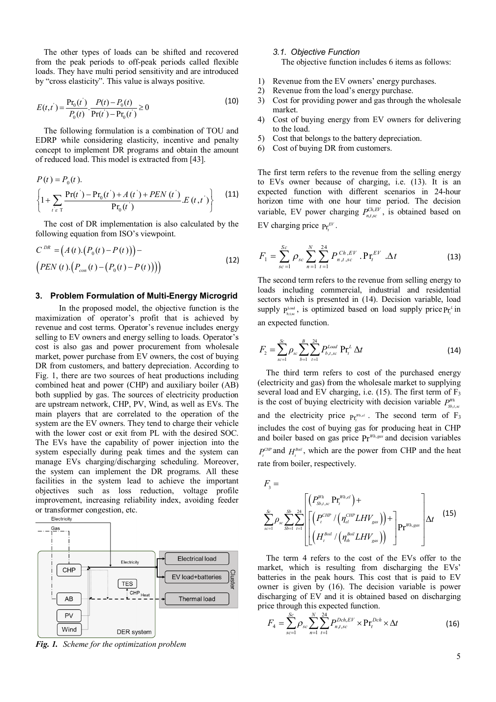The other types of loads can be shifted and recovered from the peak periods to off-peak periods called flexible loads. They have multi period sensitivity and are introduced by "cross elasticity". This value is always positive.

$$
E(t,t') = \frac{\Pr_0(t')}{P_0(t)} \cdot \frac{P(t) - P_0(t)}{\Pr(t') - \Pr_0(t')} \ge 0
$$
\n(10)

The following formulation is a combination of TOU and EDRP while considering elasticity, incentive and penalty concept to implement DR programs and obtain the amount of reduced load. This model is extracted from [43].

$$
P(t) = P_0(t).
$$
  
\n
$$
\left\{1 + \sum_{t \in T} \frac{\Pr(t^{\cdot}) - \Pr_0(t^{\cdot}) + A(t^{\cdot}) + PEN(t^{\cdot})}{\Pr_0(t^{\cdot})} E(t, t^{\cdot})\right\}
$$
 (11)

The cost of DR implementation is also calculated by the following equation from ISO's viewpoint.

$$
C^{DR} = (A(t) \cdot (P_0(t) - P(t))) -
$$
  
\n
$$
(PEN(t) \cdot (P_{con}(t) - (P_0(t) - P(t))))
$$
\n(12)

## **3. Problem Formulation of Multi-Energy Microgrid**

In the proposed model, the objective function is the maximization of operator's profit that is achieved by revenue and cost terms. Operator's revenue includes energy selling to EV owners and energy selling to loads. Operator's cost is also gas and power procurement from wholesale market, power purchase from EV owners, the cost of buying DR from customers, and battery depreciation. According to Fig. 1, there are two sources of heat productions including combined heat and power (CHP) and auxiliary boiler (AB) both supplied by gas. The sources of electricity production are upstream network, CHP, PV, Wind, as well as EVs. The main players that are correlated to the operation of the system are the EV owners. They tend to charge their vehicle with the lower cost or exit from PL with the desired SOC. The EVs have the capability of power injection into the system especially during peak times and the system can manage EVs charging/discharging scheduling. Moreover, the system can implement the DR programs. All these facilities in the system lead to achieve the important objectives such as loss reduction, voltage profile improvement, increasing reliability index, avoiding feeder or transformer congestion, etc. Electricity



*Fig. 1. Scheme for the optimization problem*

## *3.1. Objective Function*

The objective function includes 6 items as follows:

- 1) Revenue from the EV owners' energy purchases.
- 2) Revenue from the load's energy purchase.
- 3) Cost for providing power and gas through the wholesale market.
- 4) Cost of buying energy from EV owners for delivering to the load.
- 5) Cost that belongs to the battery depreciation.
- 6) Cost of buying DR from customers.

The first term refers to the revenue from the selling energy to EVs owner because of charging, i.e. (13). It is an expected function with different scenarios in 24-hour horizon time with one hour time period. The decision variable, EV power charging  $P_{n,t,\kappa}^{Ch,EV}$ , is obtained based on EV charging price  $Pr_t^{EV}$ .

$$
F_1 = \sum_{sc=1}^{Sc} \rho_{sc} \sum_{n=1}^{N} \sum_{t=1}^{24} P_{n,t,sc}^{Ch,EV} \cdot \mathbf{Pr}_t^{EV} \cdot \Delta t
$$
 (13)

The second term refers to the revenue from selling energy to loads including commercial, industrial and residential sectors which is presented in (14). Decision variable, load supply  $P_{b,t,sc}^{Load}$ , is optimized based on load supply price  $P_{t_i}^{L}$  in an expected function.

$$
F_2 = \sum_{sc=1}^{Sc} \rho_{sc} \sum_{b=1}^{B} \sum_{t=1}^{24} P_{b,t,sc}^{Load} \Pr_t^L \Delta t
$$
 (14)

The third term refers to cost of the purchased energy (electricity and gas) from the wholesale market to supplying several load and EV charging, i.e.  $(15)$ . The first term of  $F_3$ is the cost of buying electricity with decision variable  $P_{\text{S}_{b,t,\text{sc}}}^{w_h}$ and the electricity price  $Pr_i^{m_{n,el}}$ . The second term of  $F_3$ includes the cost of buying gas for producing heat in CHP and boiler based on gas price  $Pr^{Wh, gas}$  and decision variables  $P_t^{CHP}$  and  $H_t^{Boil}$ , which are the power from CHP and the heat rate from boiler, respectively.

$$
F_{3} = \sum_{sc=1}^{Sc} \rho_{sc} \sum_{Sb=1}^{2b} \sum_{t=1}^{24} \left[ \left( P_{st,sc}^{Wh} P_{t}^{Wh,el} \right) + \left( P_{et}^{CHP} / \left( \eta_{el}^{CHP} LHV_{gas} \right) \right) + \left[ P_{t}^{Wh,gas} \right] \Delta t \right]
$$
(15)

The term 4 refers to the cost of the EVs offer to the market, which is resulting from discharging the EVs' batteries in the peak hours. This cost that is paid to EV owner is given by (16). The decision variable is power discharging of EV and it is obtained based on discharging price through this expected function.

$$
F_4 = \sum_{sc=1}^{Sc} \rho_{sc} \sum_{n=1}^{N} \sum_{t=1}^{24} P_{n,t,sc}^{Dch,EV} \times \Pr_t^{Dch} \times \Delta t
$$
 (16)

5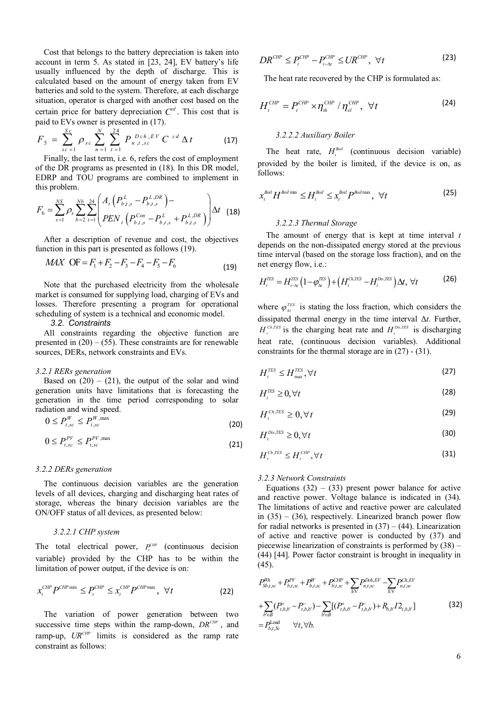Cost that belongs to the battery depreciation is taken into account in term 5. As stated in [23, 24], EV battery's life usually influenced by the depth of discharge. This is calculated based on the amount of energy taken from EV batteries and sold to the system. Therefore, at each discharge situation, operator is charged with another cost based on the certain price for battery depreciation  $C<sup>cd</sup>$ . This cost that is paid to EVs owner is presented in (17).

$$
F_{5} = \sum_{sc=1}^{Sc} \rho_{sc} \sum_{n=1}^{N} \sum_{t=1}^{24} P_{n,t,sc}^{Dch,EV} C^{cd} \Delta t
$$
 (17)

Finally, the last term, i.e. 6, refers the cost of employment of the DR programs as presented in (18). In this DR model, EDRP and TOU programs are combined to implement in this problem.

$$
F_6 = \sum_{s=1}^{NS} \rho_s \sum_{b=2}^{Nb} \sum_{t=1}^{24} \left( \frac{A_t \left( P_{b,t,s}^L - P_{b,t,s}^{L,DR} \right) -}{PEN_t \left( P_{b,t,s}^{Con} - P_{b,t,s}^L + P_{b,t,s}^{L,DR} \right)} \right) \Delta t \quad (18)
$$

After a description of revenue and cost, the objectives function in this part is presented as follows (19).

$$
MAX \t OF = F_1 + F_2 - F_3 - F_4 - F_5 - F_6 \t (19)
$$

Note that the purchased electricity from the wholesale market is consumed for supplying load, charging of EVs and losses. Therefore presenting a program for operational scheduling of system is a technical and economic model.

## *3.2. Constraints*

All constraints regarding the objective function are presented in  $(20) - (55)$ . These constraints are for renewable sources, DERs, network constraints and EVs.

#### *3.2.1 RERs generation*

Based on  $(20) - (21)$ , the output of the solar and wind generation units have limitations that is forecasting the generation in the time period corresponding to solar radiation and wind speed.

$$
0 \le P_{t,sc}^W \le P_{t,sc}^{W,\max} \tag{20}
$$

$$
0 \le P_{t,sc}^{PV} \le P_{t,sc}^{PV,\max} \tag{21}
$$

#### *3.2.2 DERs generation*

The continuous decision variables are the generation levels of all devices, charging and discharging heat rates of storage, whereas the binary decision variables are the ON/OFF status of all devices, as presented below:

## *3.2.2.1 CHP system*

The total electrical power,  $P_t^{CHP}$  (continuous decision variable) provided by the CHP has to be within the limitation of power output, if the device is on:

$$
x_t^{CHP} P^{CHP \text{ min}} \le P_t^{CHP} \le x_t^{CHP} P^{CHP \text{ max}}, \quad \forall t \tag{22}
$$

The variation of power generation between two successive time steps within the ramp-down,  $DR^{CHP}$ , and ramp-up,  $UR^{CHP}$  limits is considered as the ramp rate constraint as follows:

$$
DR^{CHP} \le P_t^{CHP} - P_{t-\Delta t}^{CHP} \le UR^{CHP}, \quad \forall t \tag{23}
$$

The heat rate recovered by the CHP is formulated as:

$$
H_t^{CHP} = P_t^{CHP} \times \eta_{th}^{CHP} / \eta_{el}^{CHP}, \quad \forall t
$$
 (24)

#### *3.2.2.2 Auxiliary Boiler*

The heat rate,  $H_t^{\text{Boll}}$  (continuous decision variable) provided by the boiler is limited, if the device is on, as follows:

$$
x_t^{\text{Boil}} H^{\text{Boil min}} \leq H_t^{\text{Boil}} \leq x_t^{\text{Boil}} P^{\text{Boil max}}, \ \forall t
$$
 (25)

## *3.2.2.3 Thermal Storage*

The amount of energy that is kept at time interval *t* depends on the non-dissipated energy stored at the previous time interval (based on the storage loss fraction), and on the net energy flow, i.e.:

$$
H_t^{TES} = H_{t-\Delta t}^{TES} \left( 1 - \varphi_{\Delta t}^{TES} \right) + \left( H_t^{Ch,TES} - H_t^{Dis,TES} \right) \Delta t, \ \forall t \tag{26}
$$

where  $\varphi_{\Delta t}^{^{TES}}$  is stating the loss fraction, which considers the dissipated thermal energy in the time interval Δ*t*. Further,  $H_t^{Ch,TES}$  is the charging heat rate and  $H_t^{Dis,TES}$  is discharging heat rate, (continuous decision variables). Additional constraints for the thermal storage are in (27) - (31).

$$
H_t^{TES} \le H_{\text{max}}^{TES}, \forall t
$$
 (27)

$$
H_t^{\text{TES}} \geq 0, \forall t \tag{28}
$$

$$
H_t^{Ch,TES} \ge 0, \forall t \tag{29}
$$

$$
H_t^{\text{Dis,TES}} \ge 0, \forall t \tag{30}
$$

$$
H_t^{Ch,TES} \le H_t^{CHP}, \forall t
$$
\n(31)

## *3.2.3 Network Constraints*

Equations  $(32) - (33)$  present power balance for active and reactive power. Voltage balance is indicated in (34). The limitations of active and reactive power are calculated in  $(35) - (36)$ , respectively. Linearized branch power flow for radial networks is presented in  $(37) - (44)$ . Linearization of active and reactive power is conducted by (37) and piecewise linearization of constraints is performed by (38) – (44) [44]. Power factor constraint is brought in inequality in (45).

$$
P_{\mathcal{S}_{b,f,\mathcal{SC}}}^{\mathcal{W}_{h}} + P_{b,f,\mathcal{SC}}^{\mathcal{PV}} + P_{b,f,\mathcal{SC}}^{\mathcal{W}} + P_{b,f,\mathcal{SC}}^{\mathcal{CHP}} + \sum_{EV} P_{n,f,\mathcal{SC}}^{\mathcal{D}ch,EV} - \sum_{EV} P_{n,f,\mathcal{SC}}^{\mathcal{C}h,EV} + \sum_{b' \in B} (P_{t,b,b'}^{+} - P_{t,b,b'}^{-}) - \sum_{b' \in B} [(P_{t,b,b'}^{+} - P_{t,b,b'}^{-}) + R_{b,b'} I_{t,b,b'}] = P_{b,t,\mathcal{SC}}^{\text{Load}} \quad \forall t, \forall b.
$$
\n(32)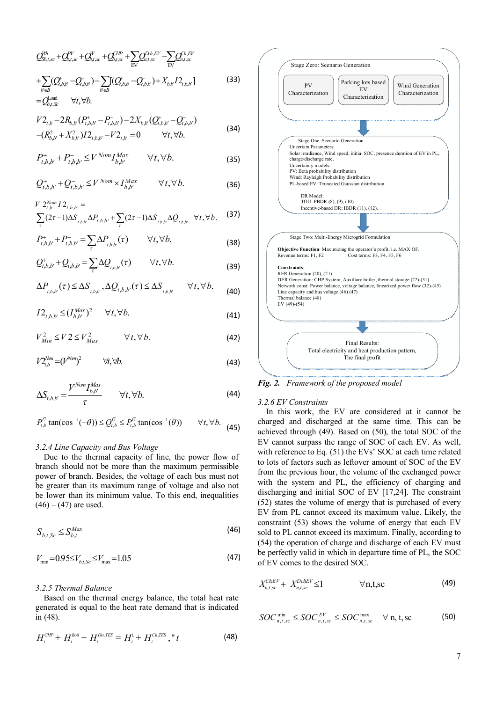$$
Q_{\mathcal{S}_{b,t,sc}}^{\mathcal{W}_{h}} + Q_{b,t,sc}^{\mathcal{V}'} + Q_{b,t,sc}^{\mathcal{V}} + Q_{b,t,sc}^{\mathcal{H}P} + \sum_{EV} Q_{n,t,sc}^{\mathcal{D}_{h,EV}} - \sum_{EV} Q_{n,t,sc}^{\mathcal{D}_{h,EV}} + \sum_{b \in B} (Q_{t,b,b}^{\dagger} - Q_{t,b,b}^{\dagger}) - \sum_{b \in B} [ (Q_{t,b,b}^{\dagger} - Q_{t,b,b}^{\dagger}) + X_{b,b}^{\dagger} I_{a,b,b}^{\dagger} ]
$$
\n
$$
= Q_{b,t,sc}^{\text{load}} \quad \forall t, \forall b.
$$
\n(33)

$$
V2_{t,b} - 2R_{b,b'}(P_{t,b,b'}^+ - P_{t,b,b'}^-) - 2X_{b,b'}(Q_{t,b,b'}^+ - Q_{t,b,b}^-)
$$
  
-
$$
(34)
$$

$$
-(R_{b,b'}^2 + X_{b,b'}^2)I2_{t,b,b'} - V2_{t,b'} = 0 \qquad \forall t, \forall b.
$$

$$
P_{t,b,b'}^{+} + P_{t,b,b'}^{-} \le V^{Nom} I_{b,b'}^{Max} \qquad \forall t, \forall b.
$$
 (35)

$$
Q_{t,b,b'}^+ + Q_{t,b,b'}^- \le V^{Nom} \times I_{b,b'}^{Max} \qquad \forall t, \forall b.
$$
 (36)

$$
V 2_{t,b}^{Nom} I 2_{t,b,b'} =
$$
  
 
$$
\sum (2\tau - 1)\Delta S_{t,b,b'} \Delta P_{t,b,b'} + \sum (2\tau - 1)\Delta S_{t,b,b'} \Delta Q_{t,b,b'} \quad \forall t, \forall b.
$$
 (37)

 $\tau$   $\tau$ 

$$
P_{t,b,b'}^+ + P_{t,b,b'}^- = \sum_{\tau} \Delta P_{t,b,b'}(\tau) \qquad \forall t, \forall b.
$$
 (38)

$$
Q_{t,b,b}^+ + Q_{t,b,b}^- = \sum_{\tau} \Delta Q_{t,b,b}(\tau) \qquad \forall t, \forall b.
$$
 (39)

$$
\Delta P_{t,b,b'}(\tau) \le \Delta S_{t,b,b'}^{\phantom{1}}, \Delta Q_{t,b,b'}(\tau) \le \Delta S_{t,b,b'}^{\phantom{1}}, \quad \forall t, \forall b. \tag{40}
$$

$$
I2_{t,b,b'} \leq (I_{b,b'}^{Max})^2 \qquad \forall t, \forall b. \tag{41}
$$

$$
V_{Min}^2 \le V 2 \le V_{Max}^2 \qquad \forall t, \forall b. \tag{42}
$$

$$
V2_{t,b}^{\text{Nm}} = (V^{\text{Norm}})^2 \qquad \forall t, \forall b. \tag{43}
$$

$$
\Delta S_{t,b,b'} = \frac{V^{Nom} I_{b,b'}^{Max}}{\tau} \qquad \forall t, \forall b.
$$
 (44)

$$
P_{t,b}^{\overline{U}}\tan(\cos^{-1}(-\theta)) \leq Q_{t,b}^{\overline{U}} \leq P_{t,b}^{\overline{U}}\tan(\cos^{-1}(\theta)) \qquad \forall t, \forall b. \tag{45}
$$

#### *3.2.4 Line Capacity and Bus Voltage*

Due to the thermal capacity of line, the power flow of branch should not be more than the maximum permissible power of branch. Besides, the voltage of each bus must not be greater than its maximum range of voltage and also not be lower than its minimum value. To this end, inequalities  $(46) - (47)$  are used.

$$
S_{b,t,Sc} \le S_{b,t}^{Max} \tag{46}
$$

$$
V_{\min} = 0.95 \le V_{b,t,Sc} \le V_{\max} = 1.05\tag{47}
$$

## *3.2.5 Thermal Balance*

Based on the thermal energy balance, the total heat rate generated is equal to the heat rate demand that is indicated in (48).

$$
H_t^{CHP} + H_t^{Boll} + H_t^{Dis, TES} = H_t^L + H_t^{Ch, TES}, "t
$$
\n(48)



*Fig. 2. Framework of the proposed model*

#### *3.2.6 EV Constraints*

In this work, the EV are considered at it cannot be charged and discharged at the same time. This can be achieved through (49). Based on (50), the total SOC of the EV cannot surpass the range of SOC of each EV. As well, with reference to Eq. (51) the EVs' SOC at each time related to lots of factors such as leftover amount of SOC of the EV from the previous hour, the volume of the exchanged power with the system and PL, the efficiency of charging and discharging and initial SOC of EV [17,24]. The constraint (52) states the volume of energy that is purchased of every EV from PL cannot exceed its maximum value. Likely, the constraint (53) shows the volume of energy that each EV sold to PL cannot exceed its maximum. Finally, according to (54) the operation of charge and discharge of each EV must be perfectly valid in which in departure time of PL, the SOC of EV comes to the desired SOC.

$$
X_{n,t,sc}^{ChEV} + X_{n,t,sc}^{DchEV} \le 1 \qquad \forall n,t,sc
$$
 (49)

$$
SOCn,t,scmin \leq SOCn,t,scEV \leq SOCn,t,scmax \forall n, t, sc
$$
 (50)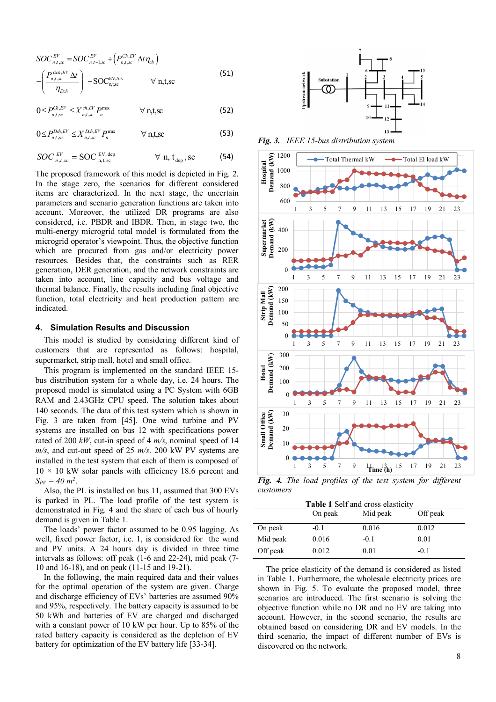$$
SOC_{n,t,sc}^{EV} = SOC_{n,t,sc}^{EV} + (P_{n,t,sc}^{Ch,EV} \Delta t \eta_{ch})
$$

$$
-\left(\frac{P_{n,t,sc}^{Dch,EV} \Delta t}{\eta_{Dch}}\right) + SOC_{n,t,sc}^{EV,Arv} \forall n,t,sc
$$
(51)

$$
0 \le P_{n,t,\infty}^{Ch,EV} \le X_{n,t,\infty}^{ch,EV} P_n^{\max} \qquad \forall \text{ n,t,sc}
$$
 (52)

$$
0 \le P_{n,t,\text{sc}}^{Dch,EV} \le X_{n,t,\text{sc}}^{Dch,EV} P_n^{\text{max}} \qquad \forall \text{ n,t,sc}
$$
 (53)

$$
SOC_{n,t,sc}^{EV} = SOC_{n,t,sc}^{EV,dep} \qquad \forall n, t_{dep}, sc \qquad (54)
$$

The proposed framework of this model is depicted in Fig. 2. In the stage zero, the scenarios for different considered items are characterized. In the next stage, the uncertain parameters and scenario generation functions are taken into account. Moreover, the utilized DR programs are also considered, i.e. PBDR and IBDR. Then, in stage two, the multi-energy microgrid total model is formulated from the microgrid operator's viewpoint. Thus, the objective function which are procured from gas and/or electricity power resources. Besides that, the constraints such as RER generation, DER generation, and the network constraints are taken into account, line capacity and bus voltage and thermal balance. Finally, the results including final objective function, total electricity and heat production pattern are indicated.

## **4. Simulation Results and Discussion**

This model is studied by considering different kind of customers that are represented as follows: hospital, supermarket, strip mall, hotel and small office.

This program is implemented on the standard IEEE 15 bus distribution system for a whole day, i.e. 24 hours. The proposed model is simulated using a PC System with 6GB RAM and 2.43GHz CPU speed. The solution takes about 140 seconds. The data of this test system which is shown in Fig. 3 are taken from [45]. One wind turbine and PV systems are installed on bus 12 with specifications power rated of 200 *kW*, cut-in speed of 4 *m/s*, nominal speed of 14 *m/s*, and cut-out speed of 25 *m/s*. 200 kW PV systems are installed in the test system that each of them is composed of  $10 \times 10$  kW solar panels with efficiency 18.6 percent and  $S_{PV} = 40 \; m^2$ .

Also, the PL is installed on bus 11, assumed that 300 EVs is parked in PL. The load profile of the test system is demonstrated in Fig. 4 and the share of each bus of hourly demand is given in Table 1.

The loads' power factor assumed to be 0.95 lagging. As well, fixed power factor, i.e. 1, is considered for the wind and PV units. A 24 hours day is divided in three time intervals as follows: off peak (1-6 and 22-24), mid peak (7- 10 and 16-18), and on peak (11-15 and 19-21).

In the following, the main required data and their values for the optimal operation of the system are given. Charge and discharge efficiency of EVs' batteries are assumed 90% and 95%, respectively. The battery capacity is assumed to be 50 kWh and batteries of EV are charged and discharged with a constant power of 10 kW per hour. Up to 85% of the rated battery capacity is considered as the depletion of EV battery for optimization of the EV battery life [33-34].



*Fig. 3. IEEE 15-bus distribution system*



*Fig. 4. The load profiles of the test system for different customers*

| Table 1 Self and cross elasticity |  |  |
|-----------------------------------|--|--|
|-----------------------------------|--|--|

|          | On peak | Mid peak | Off peak |
|----------|---------|----------|----------|
| On peak  | $-0.1$  | 0.016    | 0.012    |
| Mid peak | 0.016   | $-0.1$   | 0.01     |
| Off peak | 0.012   | 0.01     | $-0.1$   |

The price elasticity of the demand is considered as listed in Table 1. Furthermore, the wholesale electricity prices are shown in Fig. 5. To evaluate the proposed model, three scenarios are introduced. The first scenario is solving the objective function while no DR and no EV are taking into account. However, in the second scenario, the results are obtained based on considering DR and EV models. In the third scenario, the impact of different number of EVs is discovered on the network.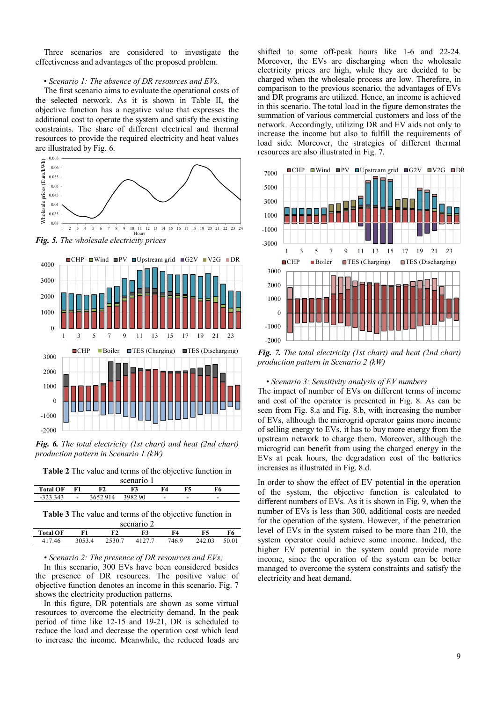Three scenarios are considered to investigate the effectiveness and advantages of the proposed problem.

#### • *Scenario 1: The absence of DR resources and EVs.*

The first scenario aims to evaluate the operational costs of the selected network. As it is shown in Table II, the objective function has a negative value that expresses the additional cost to operate the system and satisfy the existing constraints. The share of different electrical and thermal resources to provide the required electricity and heat values are illustrated by Fig. 6.



*Fig. 5. The wholesale electricity prices*



*Fig. 6. The total electricity (1st chart) and heat (2nd chart) production pattern in Scenario 1 (kW)*

**Table 2** The value and terms of the objective function in scenario 1

| 50010101          |        |          |         |     |   |   |
|-------------------|--------|----------|---------|-----|---|---|
| <b>Total OF</b>   | F1     |          |         | 74. |   |   |
| 323.343<br>-525.5 | $\sim$ | 3652.914 | 3982.90 | -   | - | - |
|                   |        |          |         |     |   |   |

**Table 3** The value and terms of the objective function in scenario 2

|                 |        | 500 |      |        |   |  |  |  |  |  |
|-----------------|--------|-----|------|--------|---|--|--|--|--|--|
| <b>Total OF</b> |        | F3  | F4   | F5     | O |  |  |  |  |  |
| 46              | 2530.7 |     | 46.9 | 242.03 |   |  |  |  |  |  |

#### *• Scenario 2: The presence of DR resources and EVs;*

In this scenario, 300 EVs have been considered besides the presence of DR resources. The positive value of objective function denotes an income in this scenario. Fig. 7 shows the electricity production patterns.

In this figure, DR potentials are shown as some virtual resources to overcome the electricity demand. In the peak period of time like 12-15 and 19-21, DR is scheduled to reduce the load and decrease the operation cost which lead to increase the income. Meanwhile, the reduced loads are shifted to some off-peak hours like 1-6 and 22-24. Moreover, the EVs are discharging when the wholesale electricity prices are high, while they are decided to be charged when the wholesale process are low. Therefore, in comparison to the previous scenario, the advantages of EVs and DR programs are utilized. Hence, an income is achieved in this scenario. The total load in the figure demonstrates the summation of various commercial customers and loss of the network. Accordingly, utilizing DR and EV aids not only to increase the income but also to fulfill the requirements of load side. Moreover, the strategies of different thermal resources are also illustrated in Fig. 7.



*Fig. 7. The total electricity (1st chart) and heat (2nd chart) production pattern in Scenario 2 (kW)*

#### *• Scenario 3: Sensitivity analysis of EV numbers*

The impact of number of EVs on different terms of income and cost of the operator is presented in Fig. 8. As can be seen from Fig. 8.a and Fig. 8.b, with increasing the number of EVs, although the microgrid operator gains more income of selling energy to EVs, it has to buy more energy from the upstream network to charge them. Moreover, although the microgrid can benefit from using the charged energy in the EVs at peak hours, the degradation cost of the batteries increases as illustrated in Fig. 8.d.

In order to show the effect of EV potential in the operation of the system, the objective function is calculated to different numbers of EVs. As it is shown in Fig. 9, when the number of EVs is less than 300, additional costs are needed for the operation of the system. However, if the penetration level of EVs in the system raised to be more than 210, the system operator could achieve some income. Indeed, the higher EV potential in the system could provide more income, since the operation of the system can be better managed to overcome the system constraints and satisfy the electricity and heat demand.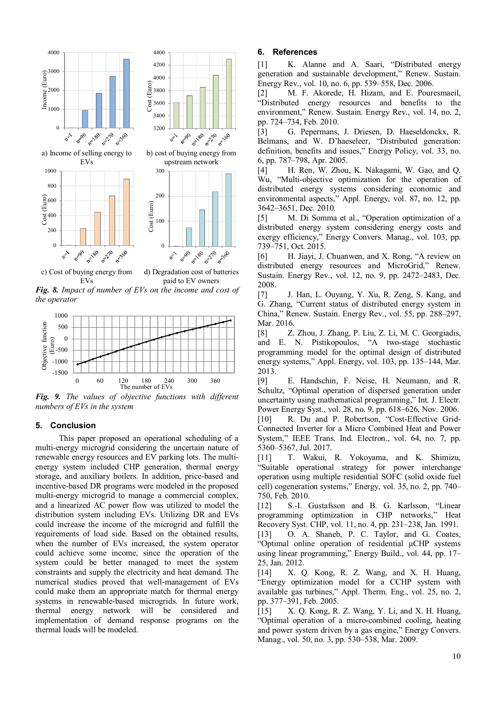

EVs paid to EV owners *Fig. 8. Impact of number of EVs on the income and cost of the operator*



*Fig. 9. The values of objective functions with different numbers of EVs in the system*

## **5. Conclusion**

This paper proposed an operational scheduling of a multi-energy microgrid considering the uncertain nature of renewable energy resources and EV parking lots. The multienergy system included CHP generation, thermal energy storage, and auxiliary boilers. In addition, price-based and incentive-based DR programs were modeled in the proposed multi-energy microgrid to manage a commercial complex, and a linearized AC power flow was utilized to model the distribution system including EVs. Utilizing DR and EVs could increase the income of the microgrid and fulfill the requirements of load side. Based on the obtained results, when the number of EVs increased, the system operator could achieve some income, since the operation of the system could be better managed to meet the system constraints and supply the electricity and heat demand. The numerical studies proved that well-management of EVs could make them an appropriate match for thermal energy systems in renewable-based microgrids. In future work, thermal energy network will be considered and implementation of demand response programs on the thermal loads will be modeled.

## **6. References**

[1] K. Alanne and A. Saari, "Distributed energy generation and sustainable development," Renew. Sustain. Energy Rev., vol. 10, no. 6, pp. 539–558, Dec. 2006.

[2] M. F. Akorede, H. Hizam, and E. Pouresmaeil, "Distributed energy resources and benefits to the environment," Renew. Sustain. Energy Rev., vol. 14, no. 2, pp. 724–734, Feb. 2010.

[3] G. Pepermans, J. Driesen, D. Haeseldonckx, R. Belmans, and W. D'haeseleer, "Distributed generation: definition, benefits and issues," Energy Policy, vol. 33, no. 6, pp. 787–798, Apr. 2005.

[4] H. Ren, W. Zhou, K. Nakagami, W. Gao, and Q. Wu, "Multi-objective optimization for the operation of distributed energy systems considering economic and environmental aspects," Appl. Energy, vol. 87, no. 12, pp. 3642–3651, Dec. 2010.

[5] M. Di Somma et al., "Operation optimization of a distributed energy system considering energy costs and exergy efficiency," Energy Convers. Manag., vol. 103, pp. 739–751, Oct. 2015.

[6] H. Jiayi, J. Chuanwen, and X. Rong, "A review on distributed energy resources and MicroGrid," Renew. Sustain. Energy Rev., vol. 12, no. 9, pp. 2472–2483, Dec. 2008.

[7] J. Han, L. Ouyang, Y. Xu, R. Zeng, S. Kang, and G. Zhang, "Current status of distributed energy system in China," Renew. Sustain. Energy Rev., vol. 55, pp. 288–297, Mar. 2016.

[8] Z. Zhou, J. Zhang, P. Liu, Z. Li, M. C. Georgiadis, and E. N. Pistikopoulos, "A two-stage stochastic programming model for the optimal design of distributed energy systems," Appl. Energy, vol. 103, pp. 135–144, Mar. 2013.

[9] E. Handschin, F. Neise, H. Neumann, and R. Schultz, "Optimal operation of dispersed generation under uncertainty using mathematical programming," Int. J. Electr. Power Energy Syst., vol. 28, no. 9, pp. 618–626, Nov. 2006. [10] R. Du and P. Robertson, "Cost-Effective Grid-Connected Inverter for a Micro Combined Heat and Power System," IEEE Trans. Ind. Electron., vol. 64, no. 7, pp. 5360–5367, Jul. 2017.

[11] T. Wakui, R. Yokoyama, and K. Shimizu, "Suitable operational strategy for power interchange operation using multiple residential SOFC (solid oxide fuel cell) cogeneration systems," Energy, vol. 35, no. 2, pp. 740– 750, Feb. 2010.

[12] S.-I. Gustafsson and B. G. Karlsson, "Linear programming optimization in CHP networks," Heat Recovery Syst. CHP, vol. 11, no. 4, pp. 231–238, Jan. 1991. [13] O. A. Shaneb, P. C. Taylor, and G. Coates, "Optimal online operation of residential μCHP systems using linear programming," Energy Build., vol. 44, pp. 17– 25, Jan. 2012.

[14] X. Q. Kong, R. Z. Wang, and X. H. Huang, "Energy optimization model for a CCHP system with available gas turbines," Appl. Therm. Eng., vol. 25, no. 2, pp. 377–391, Feb. 2005.

[15] X. Q. Kong, R. Z. Wang, Y. Li, and X. H. Huang, "Optimal operation of a micro-combined cooling, heating and power system driven by a gas engine," Energy Convers. Manag., vol. 50, no. 3, pp. 530–538, Mar. 2009.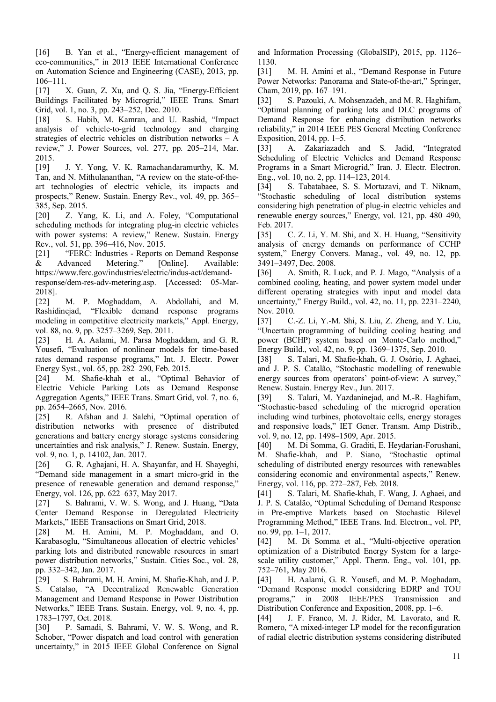[16] B. Yan et al., "Energy-efficient management of eco-communities," in 2013 IEEE International Conference on Automation Science and Engineering (CASE), 2013, pp. 106–111.

[17] X. Guan, Z. Xu, and Q. S. Jia, "Energy-Efficient" Buildings Facilitated by Microgrid," IEEE Trans. Smart Grid, vol. 1, no. 3, pp. 243–252, Dec. 2010.

[18] S. Habib, M. Kamran, and U. Rashid, "Impact analysis of vehicle-to-grid technology and charging strategies of electric vehicles on distribution networks – A review," J. Power Sources, vol. 277, pp. 205–214, Mar. 2015.

[19] J. Y. Yong, V. K. Ramachandaramurthy, K. M. Tan, and N. Mithulananthan, "A review on the state-of-theart technologies of electric vehicle, its impacts and prospects," Renew. Sustain. Energy Rev., vol. 49, pp. 365– 385, Sep. 2015.

[20] Z. Yang, K. Li, and A. Foley, "Computational scheduling methods for integrating plug-in electric vehicles with power systems: A review," Renew. Sustain. Energy Rev., vol. 51, pp. 396–416, Nov. 2015.

[21] "FERC: Industries - Reports on Demand Response<br>& Advanced Metering." [Online]. Available: & Advanced Metering." [Online]. Available: https://www.ferc.gov/industries/electric/indus-act/demand-

response/dem-res-adv-metering.asp. [Accessed: 05-Mar-2018].

[22] M. P. Moghaddam, A. Abdollahi, and M. Rashidinejad, "Flexible demand response programs modeling in competitive electricity markets," Appl. Energy, vol. 88, no. 9, pp. 3257–3269, Sep. 2011.

[23] H. A. Aalami, M. Parsa Moghaddam, and G. R. Yousefi, "Evaluation of nonlinear models for time-based rates demand response programs," Int. J. Electr. Power Energy Syst., vol. 65, pp. 282–290, Feb. 2015.

[24] M. Shafie-khah et al., "Optimal Behavior of Electric Vehicle Parking Lots as Demand Response Aggregation Agents," IEEE Trans. Smart Grid, vol. 7, no. 6, pp. 2654–2665, Nov. 2016.

[25] R. Afshan and J. Salehi, "Optimal operation of distribution networks with presence of distributed generations and battery energy storage systems considering uncertainties and risk analysis," J. Renew. Sustain. Energy, vol. 9, no. 1, p. 14102, Jan. 2017.

[26] G. R. Aghajani, H. A. Shayanfar, and H. Shayeghi, "Demand side management in a smart micro-grid in the presence of renewable generation and demand response," Energy, vol. 126, pp. 622–637, May 2017.

[27] S. Bahrami, V. W. S. Wong, and J. Huang, "Data Center Demand Response in Deregulated Electricity Markets," IEEE Transactions on Smart Grid, 2018.

[28] M. H. Amini, M. P. Moghaddam, and O. Karabasoglu, "Simultaneous allocation of electric vehicles' parking lots and distributed renewable resources in smart power distribution networks," Sustain. Cities Soc., vol. 28, pp. 332–342, Jan. 2017.

[29] S. Bahrami, M. H. Amini, M. Shafie-Khah, and J. P. S. Catalao, "A Decentralized Renewable Generation Management and Demand Response in Power Distribution Networks," IEEE Trans. Sustain. Energy, vol. 9, no. 4, pp. 1783–1797, Oct. 2018.

[30] P. Samadi, S. Bahrami, V. W. S. Wong, and R. Schober, "Power dispatch and load control with generation uncertainty," in 2015 IEEE Global Conference on Signal

and Information Processing (GlobalSIP), 2015, pp. 1126– 1130.

[31] M. H. Amini et al., "Demand Response in Future Power Networks: Panorama and State-of-the-art," Springer, Cham, 2019, pp. 167–191.

[32] S. Pazouki, A. Mohsenzadeh, and M. R. Haghifam, "Optimal planning of parking lots and DLC programs of Demand Response for enhancing distribution networks reliability," in 2014 IEEE PES General Meeting Conference Exposition, 2014, pp. 1–5.

[33] A. Zakariazadeh and S. Jadid, "Integrated Scheduling of Electric Vehicles and Demand Response Programs in a Smart Microgrid," Iran. J. Electr. Electron. Eng., vol. 10, no. 2, pp. 114–123, 2014.

[34] S. Tabatabaee, S. S. Mortazavi, and T. Niknam, "Stochastic scheduling of local distribution systems considering high penetration of plug-in electric vehicles and renewable energy sources," Energy, vol. 121, pp. 480–490, Feb. 2017.

[35] C. Z. Li, Y. M. Shi, and X. H. Huang, "Sensitivity analysis of energy demands on performance of CCHP system," Energy Convers. Manag., vol. 49, no. 12, pp. 3491–3497, Dec. 2008.

[36] A. Smith, R. Luck, and P. J. Mago, "Analysis of a combined cooling, heating, and power system model under different operating strategies with input and model data uncertainty," Energy Build., vol. 42, no. 11, pp. 2231–2240, Nov. 2010.

[37] C.-Z. Li, Y.-M. Shi, S. Liu, Z. Zheng, and Y. Liu, "Uncertain programming of building cooling heating and power (BCHP) system based on Monte-Carlo method," Energy Build., vol. 42, no. 9, pp. 1369–1375, Sep. 2010.

[38] S. Talari, M. Shafie-khah, G. J. Osório, J. Aghaei, and J. P. S. Catalão, "Stochastic modelling of renewable energy sources from operators' point-of-view: A survey," Renew. Sustain. Energy Rev., Jun. 2017.

[39] S. Talari, M. Yazdaninejad, and M.-R. Haghifam, "Stochastic-based scheduling of the microgrid operation including wind turbines, photovoltaic cells, energy storages and responsive loads," IET Gener. Transm. Amp Distrib., vol. 9, no. 12, pp. 1498–1509, Apr. 2015.

[40] M. Di Somma, G. Graditi, E. Heydarian-Forushani, M. Shafie-khah, and P. Siano, "Stochastic optimal scheduling of distributed energy resources with renewables considering economic and environmental aspects," Renew. Energy, vol. 116, pp. 272–287, Feb. 2018.

[41] S. Talari, M. Shafie-khah, F. Wang, J. Aghaei, and J. P. S. Catalão, "Optimal Scheduling of Demand Response in Pre-emptive Markets based on Stochastic Bilevel Programming Method," IEEE Trans. Ind. Electron., vol. PP, no. 99, pp. 1–1, 2017.

[42] M. Di Somma et al., "Multi-objective operation optimization of a Distributed Energy System for a largescale utility customer," Appl. Therm. Eng., vol. 101, pp. 752–761, May 2016.

[43] H. Aalami, G. R. Yousefi, and M. P. Moghadam, "Demand Response model considering EDRP and TOU programs," in 2008 IEEE/PES Transmission and Distribution Conference and Exposition, 2008, pp. 1–6.

[44] J. F. Franco, M. J. Rider, M. Lavorato, and R. Romero, "A mixed-integer LP model for the reconfiguration of radial electric distribution systems considering distributed